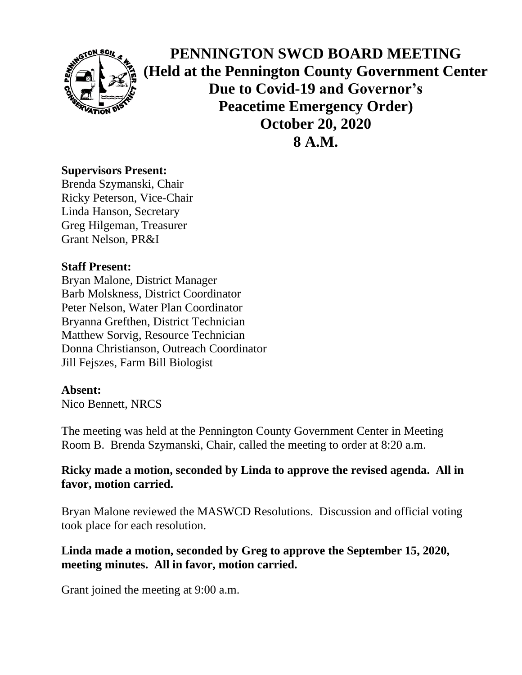

**PENNINGTON SWCD BOARD MEETING (Held at the Pennington County Government Center Due to Covid-19 and Governor's Peacetime Emergency Order) October 20, 2020 8 A.M.**

## **Supervisors Present:**

Brenda Szymanski, Chair Ricky Peterson, Vice-Chair Linda Hanson, Secretary Greg Hilgeman, Treasurer Grant Nelson, PR&I

# **Staff Present:**

Bryan Malone, District Manager Barb Molskness, District Coordinator Peter Nelson, Water Plan Coordinator Bryanna Grefthen, District Technician Matthew Sorvig, Resource Technician Donna Christianson, Outreach Coordinator Jill Fejszes, Farm Bill Biologist

## **Absent:**

Nico Bennett, NRCS

The meeting was held at the Pennington County Government Center in Meeting Room B. Brenda Szymanski, Chair, called the meeting to order at 8:20 a.m.

# **Ricky made a motion, seconded by Linda to approve the revised agenda. All in favor, motion carried.**

Bryan Malone reviewed the MASWCD Resolutions. Discussion and official voting took place for each resolution.

# **Linda made a motion, seconded by Greg to approve the September 15, 2020, meeting minutes. All in favor, motion carried.**

Grant joined the meeting at 9:00 a.m.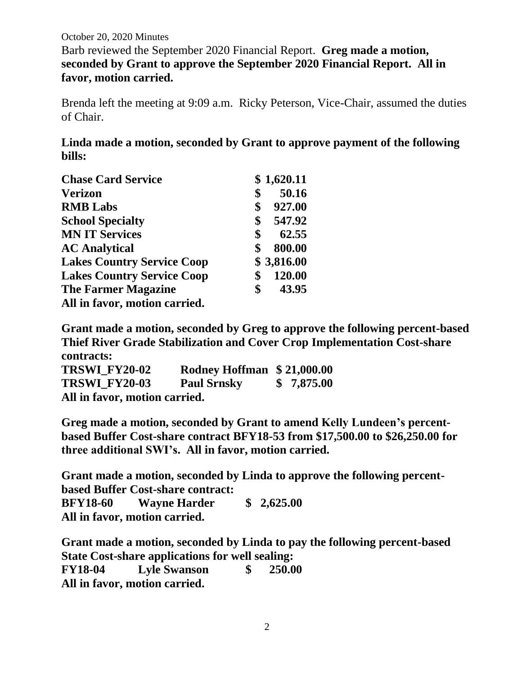October 20, 2020 Minutes Barb reviewed the September 2020 Financial Report. **Greg made a motion, seconded by Grant to approve the September 2020 Financial Report. All in favor, motion carried.**

Brenda left the meeting at 9:09 a.m. Ricky Peterson, Vice-Chair, assumed the duties of Chair.

**Linda made a motion, seconded by Grant to approve payment of the following bills:**

| <b>Chase Card Service</b>         | \$1,620.11   |
|-----------------------------------|--------------|
| <b>Verizon</b>                    | \$<br>50.16  |
| <b>RMB</b> Labs                   | \$<br>927.00 |
| <b>School Specialty</b>           | \$<br>547.92 |
| <b>MN IT Services</b>             | \$<br>62.55  |
| <b>AC Analytical</b>              | \$<br>800.00 |
| <b>Lakes Country Service Coop</b> | \$3,816.00   |
| <b>Lakes Country Service Coop</b> | \$<br>120.00 |
| <b>The Farmer Magazine</b>        | \$<br>43.95  |
| All in favor, motion carried.     |              |

**Grant made a motion, seconded by Greg to approve the following percent-based Thief River Grade Stabilization and Cover Crop Implementation Cost-share contracts:**

| <b>TRSWI FY20-02</b>          | Rodney Hoffman \$21,000.00 |            |
|-------------------------------|----------------------------|------------|
| <b>TRSWI FY20-03</b>          | <b>Paul Srnsky</b>         | \$7,875.00 |
| All in favor, motion carried. |                            |            |

**Greg made a motion, seconded by Grant to amend Kelly Lundeen's percentbased Buffer Cost-share contract BFY18-53 from \$17,500.00 to \$26,250.00 for three additional SWI's. All in favor, motion carried.**

**Grant made a motion, seconded by Linda to approve the following percentbased Buffer Cost-share contract: BFY18-60 Wayne Harder \$ 2,625.00 All in favor, motion carried.**

**Grant made a motion, seconded by Linda to pay the following percent-based State Cost-share applications for well sealing: FY18-04 Lyle Swanson \$ 250.00 All in favor, motion carried.**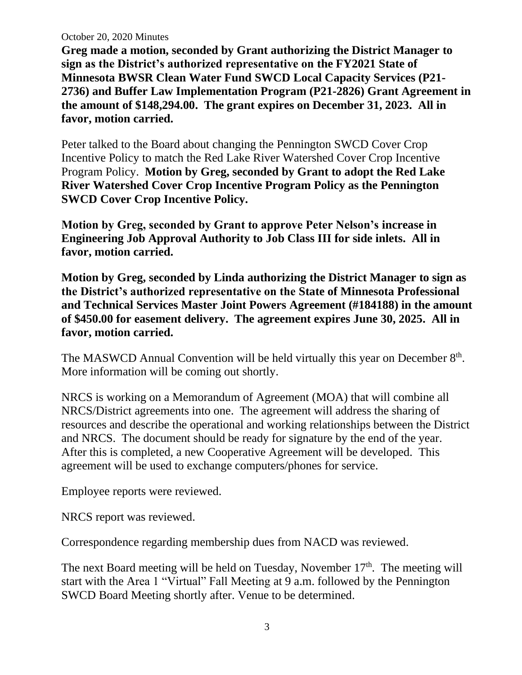October 20, 2020 Minutes

**Greg made a motion, seconded by Grant authorizing the District Manager to sign as the District's authorized representative on the FY2021 State of Minnesota BWSR Clean Water Fund SWCD Local Capacity Services (P21- 2736) and Buffer Law Implementation Program (P21-2826) Grant Agreement in the amount of \$148,294.00. The grant expires on December 31, 2023. All in favor, motion carried.**

Peter talked to the Board about changing the Pennington SWCD Cover Crop Incentive Policy to match the Red Lake River Watershed Cover Crop Incentive Program Policy. **Motion by Greg, seconded by Grant to adopt the Red Lake River Watershed Cover Crop Incentive Program Policy as the Pennington SWCD Cover Crop Incentive Policy.**

**Motion by Greg, seconded by Grant to approve Peter Nelson's increase in Engineering Job Approval Authority to Job Class III for side inlets. All in favor, motion carried.**

**Motion by Greg, seconded by Linda authorizing the District Manager to sign as the District's authorized representative on the State of Minnesota Professional and Technical Services Master Joint Powers Agreement (#184188) in the amount of \$450.00 for easement delivery. The agreement expires June 30, 2025. All in favor, motion carried.**

The MASWCD Annual Convention will be held virtually this year on December  $8<sup>th</sup>$ . More information will be coming out shortly.

NRCS is working on a Memorandum of Agreement (MOA) that will combine all NRCS/District agreements into one. The agreement will address the sharing of resources and describe the operational and working relationships between the District and NRCS. The document should be ready for signature by the end of the year. After this is completed, a new Cooperative Agreement will be developed. This agreement will be used to exchange computers/phones for service.

Employee reports were reviewed.

NRCS report was reviewed.

Correspondence regarding membership dues from NACD was reviewed.

The next Board meeting will be held on Tuesday, November  $17<sup>th</sup>$ . The meeting will start with the Area 1 "Virtual" Fall Meeting at 9 a.m. followed by the Pennington SWCD Board Meeting shortly after. Venue to be determined.